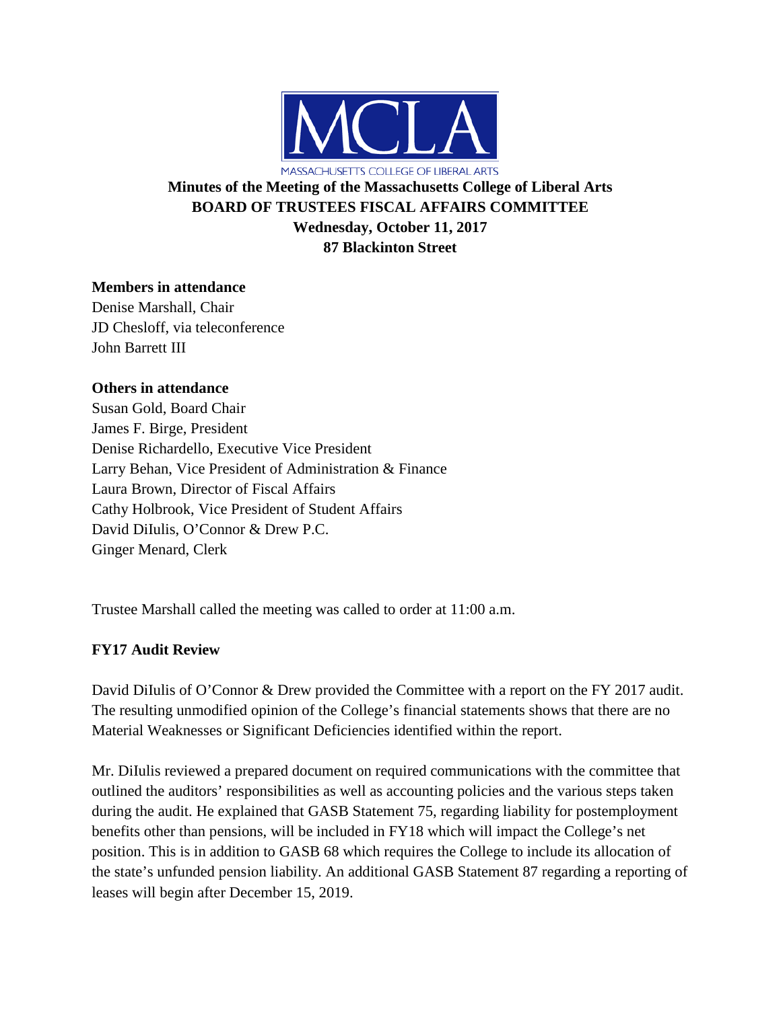

# **Minutes of the Meeting of the Massachusetts College of Liberal Arts BOARD OF TRUSTEES FISCAL AFFAIRS COMMITTEE Wednesday, October 11, 2017 87 Blackinton Street**

## **Members in attendance**

Denise Marshall, Chair JD Chesloff, via teleconference John Barrett III

### **Others in attendance**

Susan Gold, Board Chair James F. Birge, President Denise Richardello, Executive Vice President Larry Behan, Vice President of Administration & Finance Laura Brown, Director of Fiscal Affairs Cathy Holbrook, Vice President of Student Affairs David DiIulis, O'Connor & Drew P.C. Ginger Menard, Clerk

Trustee Marshall called the meeting was called to order at 11:00 a.m.

# **FY17 Audit Review**

David DiIulis of O'Connor & Drew provided the Committee with a report on the FY 2017 audit. The resulting unmodified opinion of the College's financial statements shows that there are no Material Weaknesses or Significant Deficiencies identified within the report.

Mr. DiIulis reviewed a prepared document on required communications with the committee that outlined the auditors' responsibilities as well as accounting policies and the various steps taken during the audit. He explained that GASB Statement 75, regarding liability for postemployment benefits other than pensions, will be included in FY18 which will impact the College's net position. This is in addition to GASB 68 which requires the College to include its allocation of the state's unfunded pension liability. An additional GASB Statement 87 regarding a reporting of leases will begin after December 15, 2019.